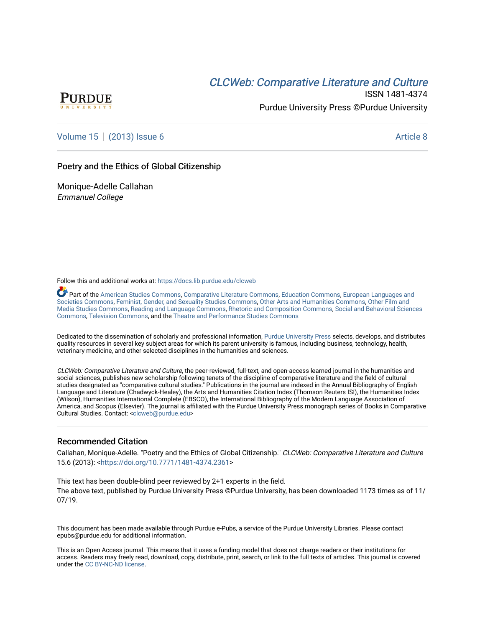# **CLCW[eb: Comparative Liter](https://docs.lib.purdue.edu/clcweb)ature and Culture**



ISSN 1481-4374 Purdue University Press ©Purdue University

## [Volume 15](https://docs.lib.purdue.edu/clcweb/vol15) | [\(2013\) Issue 6](https://docs.lib.purdue.edu/clcweb/vol15/iss6) Article 8

### Poetry and the Ethics of Global Citizenship

Monique-Adelle Callahan Emmanuel College

Follow this and additional works at: [https://docs.lib.purdue.edu/clcweb](https://docs.lib.purdue.edu/clcweb?utm_source=docs.lib.purdue.edu%2Fclcweb%2Fvol15%2Fiss6%2F8&utm_medium=PDF&utm_campaign=PDFCoverPages)

Part of the [American Studies Commons](http://network.bepress.com/hgg/discipline/439?utm_source=docs.lib.purdue.edu%2Fclcweb%2Fvol15%2Fiss6%2F8&utm_medium=PDF&utm_campaign=PDFCoverPages), [Comparative Literature Commons,](http://network.bepress.com/hgg/discipline/454?utm_source=docs.lib.purdue.edu%2Fclcweb%2Fvol15%2Fiss6%2F8&utm_medium=PDF&utm_campaign=PDFCoverPages) [Education Commons,](http://network.bepress.com/hgg/discipline/784?utm_source=docs.lib.purdue.edu%2Fclcweb%2Fvol15%2Fiss6%2F8&utm_medium=PDF&utm_campaign=PDFCoverPages) [European Languages and](http://network.bepress.com/hgg/discipline/482?utm_source=docs.lib.purdue.edu%2Fclcweb%2Fvol15%2Fiss6%2F8&utm_medium=PDF&utm_campaign=PDFCoverPages) [Societies Commons](http://network.bepress.com/hgg/discipline/482?utm_source=docs.lib.purdue.edu%2Fclcweb%2Fvol15%2Fiss6%2F8&utm_medium=PDF&utm_campaign=PDFCoverPages), [Feminist, Gender, and Sexuality Studies Commons,](http://network.bepress.com/hgg/discipline/559?utm_source=docs.lib.purdue.edu%2Fclcweb%2Fvol15%2Fiss6%2F8&utm_medium=PDF&utm_campaign=PDFCoverPages) [Other Arts and Humanities Commons](http://network.bepress.com/hgg/discipline/577?utm_source=docs.lib.purdue.edu%2Fclcweb%2Fvol15%2Fiss6%2F8&utm_medium=PDF&utm_campaign=PDFCoverPages), [Other Film and](http://network.bepress.com/hgg/discipline/565?utm_source=docs.lib.purdue.edu%2Fclcweb%2Fvol15%2Fiss6%2F8&utm_medium=PDF&utm_campaign=PDFCoverPages)  [Media Studies Commons](http://network.bepress.com/hgg/discipline/565?utm_source=docs.lib.purdue.edu%2Fclcweb%2Fvol15%2Fiss6%2F8&utm_medium=PDF&utm_campaign=PDFCoverPages), [Reading and Language Commons](http://network.bepress.com/hgg/discipline/1037?utm_source=docs.lib.purdue.edu%2Fclcweb%2Fvol15%2Fiss6%2F8&utm_medium=PDF&utm_campaign=PDFCoverPages), [Rhetoric and Composition Commons,](http://network.bepress.com/hgg/discipline/573?utm_source=docs.lib.purdue.edu%2Fclcweb%2Fvol15%2Fiss6%2F8&utm_medium=PDF&utm_campaign=PDFCoverPages) [Social and Behavioral Sciences](http://network.bepress.com/hgg/discipline/316?utm_source=docs.lib.purdue.edu%2Fclcweb%2Fvol15%2Fiss6%2F8&utm_medium=PDF&utm_campaign=PDFCoverPages) [Commons,](http://network.bepress.com/hgg/discipline/316?utm_source=docs.lib.purdue.edu%2Fclcweb%2Fvol15%2Fiss6%2F8&utm_medium=PDF&utm_campaign=PDFCoverPages) [Television Commons,](http://network.bepress.com/hgg/discipline/1143?utm_source=docs.lib.purdue.edu%2Fclcweb%2Fvol15%2Fiss6%2F8&utm_medium=PDF&utm_campaign=PDFCoverPages) and the [Theatre and Performance Studies Commons](http://network.bepress.com/hgg/discipline/552?utm_source=docs.lib.purdue.edu%2Fclcweb%2Fvol15%2Fiss6%2F8&utm_medium=PDF&utm_campaign=PDFCoverPages)

Dedicated to the dissemination of scholarly and professional information, [Purdue University Press](http://www.thepress.purdue.edu/) selects, develops, and distributes quality resources in several key subject areas for which its parent university is famous, including business, technology, health, veterinary medicine, and other selected disciplines in the humanities and sciences.

CLCWeb: Comparative Literature and Culture, the peer-reviewed, full-text, and open-access learned journal in the humanities and social sciences, publishes new scholarship following tenets of the discipline of comparative literature and the field of cultural studies designated as "comparative cultural studies." Publications in the journal are indexed in the Annual Bibliography of English Language and Literature (Chadwyck-Healey), the Arts and Humanities Citation Index (Thomson Reuters ISI), the Humanities Index (Wilson), Humanities International Complete (EBSCO), the International Bibliography of the Modern Language Association of America, and Scopus (Elsevier). The journal is affiliated with the Purdue University Press monograph series of Books in Comparative Cultural Studies. Contact: [<clcweb@purdue.edu](mailto:clcweb@purdue.edu)>

### Recommended Citation

Callahan, Monique-Adelle. "Poetry and the Ethics of Global Citizenship." CLCWeb: Comparative Literature and Culture 15.6 (2013): [<https://doi.org/10.7771/1481-4374.2361>](https://doi.org/10.7771/1481-4374.2361)

This text has been double-blind peer reviewed by 2+1 experts in the field. The above text, published by Purdue University Press ©Purdue University, has been downloaded 1173 times as of 11/ 07/19.

This document has been made available through Purdue e-Pubs, a service of the Purdue University Libraries. Please contact epubs@purdue.edu for additional information.

This is an Open Access journal. This means that it uses a funding model that does not charge readers or their institutions for access. Readers may freely read, download, copy, distribute, print, search, or link to the full texts of articles. This journal is covered under the [CC BY-NC-ND license.](https://creativecommons.org/licenses/by-nc-nd/4.0/)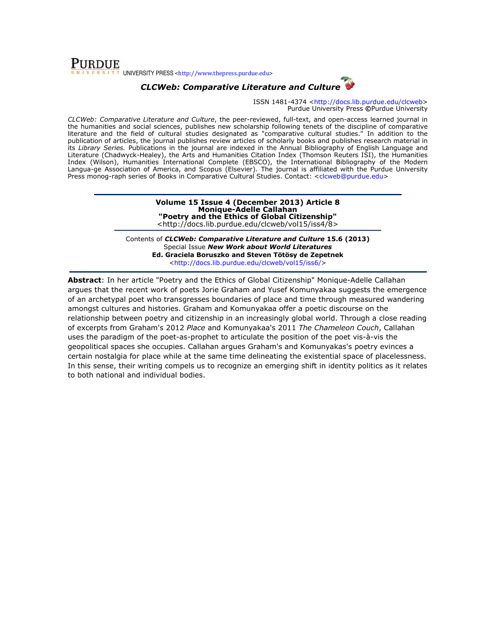## **PURDUE** UNIVERSITY PRESS <http://www.thepress.purdue.edu>

## CLCWeb: Comparative Literature and Culture

ISSN 1481-4374 <http://docs.lib.purdue.edu/clcweb> Purdue University Press ©Purdue University

CLCWeb: Comparative Literature and Culture, the peer-reviewed, full-text, and open-access learned journal in the humanities and social sciences, publishes new scholarship following tenets of the discipline of comparative literature and the field of cultural studies designated as "comparative cultural studies." In addition to the publication of articles, the journal publishes review articles of scholarly books and publishes research material in its Library Series. Publications in the journal are indexed in the Annual Bibliography of English Language and Literature (Chadwyck-Healey), the Arts and Humanities Citation Index (Thomson Reuters ISI), the Humanities Index (Wilson), Humanities International Complete (EBSCO), the International Bibliography of the Modern Langua-ge Association of America, and Scopus (Elsevier). The journal is affiliated with the Purdue University Press monog-raph series of Books in Comparative Cultural Studies. Contact: <clcweb@purdue.edu>

> Volume 15 Issue 4 (December 2013) Article 8 Monique-Adelle Callahan "Poetry and the Ethics of Global Citizenship" <http://docs.lib.purdue.edu/clcweb/vol15/iss4/8>

Contents of CLCWeb: Comparative Literature and Culture 15.6 (2013) Special Issue New Work about World Literatures Ed. Graciela Boruszko and Steven Tötösy de Zepetnek <http://docs.lib.purdue.edu/clcweb/vol15/iss6/>

Abstract: In her article "Poetry and the Ethics of Global Citizenship" Monique-Adelle Callahan argues that the recent work of poets Jorie Graham and Yusef Komunyakaa suggests the emergence of an archetypal poet who transgresses boundaries of place and time through measured wandering amongst cultures and histories. Graham and Komunyakaa offer a poetic discourse on the relationship between poetry and citizenship in an increasingly global world. Through a close reading of excerpts from Graham's 2012 Place and Komunyakaa's 2011 The Chameleon Couch, Callahan uses the paradigm of the poet-as-prophet to articulate the position of the poet vis-à-vis the geopolitical spaces she occupies. Callahan argues Graham's and Komunyakas's poetry evinces a certain nostalgia for place while at the same time delineating the existential space of placelessness. In this sense, their writing compels us to recognize an emerging shift in identity politics as it relates to both national and individual bodies.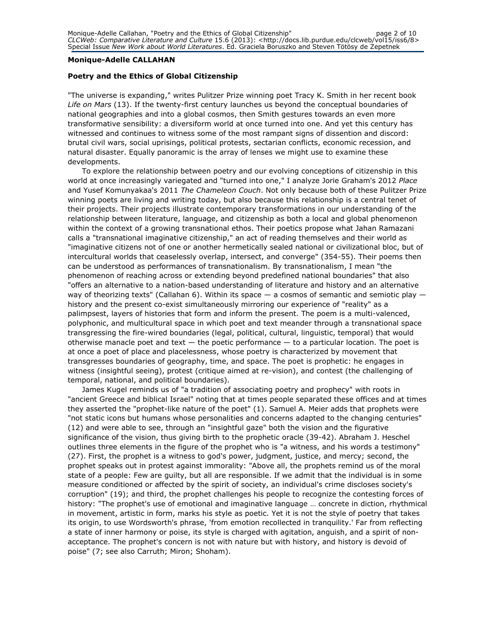#### Monique-Adelle CALLAHAN

#### Poetry and the Ethics of Global Citizenship

"The universe is expanding," writes Pulitzer Prize winning poet Tracy K. Smith in her recent book Life on Mars (13). If the twenty-first century launches us beyond the conceptual boundaries of national geographies and into a global cosmos, then Smith gestures towards an even more transformative sensibility: a diversiform world at once turned into one. And yet this century has witnessed and continues to witness some of the most rampant signs of dissention and discord: brutal civil wars, social uprisings, political protests, sectarian conflicts, economic recession, and natural disaster. Equally panoramic is the array of lenses we might use to examine these developments.

To explore the relationship between poetry and our evolving conceptions of citizenship in this world at once increasingly variegated and "turned into one," I analyze Jorie Graham's 2012 Place and Yusef Komunyakaa's 2011 The Chameleon Couch. Not only because both of these Pulitzer Prize winning poets are living and writing today, but also because this relationship is a central tenet of their projects. Their projects illustrate contemporary transformations in our understanding of the relationship between literature, language, and citizenship as both a local and global phenomenon within the context of a growing transnational ethos. Their poetics propose what Jahan Ramazani calls a "transnational imaginative citizenship," an act of reading themselves and their world as "imaginative citizens not of one or another hermetically sealed national or civilizational bloc, but of intercultural worlds that ceaselessly overlap, intersect, and converge" (354-55). Their poems then can be understood as performances of transnationalism. By transnationalism, I mean "the phenomenon of reaching across or extending beyond predefined national boundaries" that also "offers an alternative to a nation-based understanding of literature and history and an alternative way of theorizing texts" (Callahan 6). Within its space  $-$  a cosmos of semantic and semiotic play  $$ history and the present co-exist simultaneously mirroring our experience of "reality" as a palimpsest, layers of histories that form and inform the present. The poem is a multi-valenced, polyphonic, and multicultural space in which poet and text meander through a transnational space transgressing the fire-wired boundaries (legal, political, cultural, linguistic, temporal) that would otherwise manacle poet and text  $-$  the poetic performance  $-$  to a particular location. The poet is at once a poet of place and placelessness, whose poetry is characterized by movement that transgresses boundaries of geography, time, and space. The poet is prophetic: he engages in witness (insightful seeing), protest (critique aimed at re-vision), and contest (the challenging of temporal, national, and political boundaries).

James Kugel reminds us of "a tradition of associating poetry and prophecy" with roots in "ancient Greece and biblical Israel" noting that at times people separated these offices and at times they asserted the "prophet-like nature of the poet" (1). Samuel A. Meier adds that prophets were "not static icons but humans whose personalities and concerns adapted to the changing centuries" (12) and were able to see, through an "insightful gaze" both the vision and the figurative significance of the vision, thus giving birth to the prophetic oracle (39-42). Abraham J. Heschel outlines three elements in the figure of the prophet who is "a witness, and his words a testimony" (27). First, the prophet is a witness to god's power, judgment, justice, and mercy; second, the prophet speaks out in protest against immorality: "Above all, the prophets remind us of the moral state of a people: Few are guilty, but all are responsible. If we admit that the individual is in some measure conditioned or affected by the spirit of society, an individual's crime discloses society's corruption" (19); and third, the prophet challenges his people to recognize the contesting forces of history: "The prophet's use of emotional and imaginative language … concrete in diction, rhythmical in movement, artistic in form, marks his style as poetic. Yet it is not the style of poetry that takes its origin, to use Wordsworth's phrase, 'from emotion recollected in tranquility.' Far from reflecting a state of inner harmony or poise, its style is charged with agitation, anguish, and a spirit of nonacceptance. The prophet's concern is not with nature but with history, and history is devoid of poise" (7; see also Carruth; Miron; Shoham).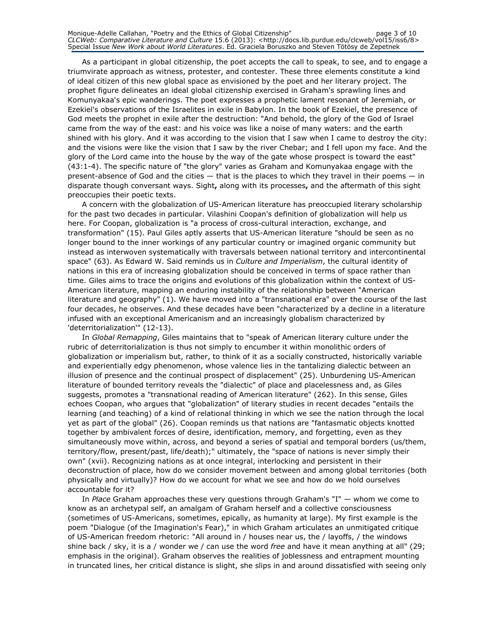As a participant in global citizenship, the poet accepts the call to speak, to see, and to engage a triumvirate approach as witness, protester, and contester. These three elements constitute a kind of ideal citizen of this new global space as envisioned by the poet and her literary project. The prophet figure delineates an ideal global citizenship exercised in Graham's sprawling lines and Komunyakaa's epic wanderings. The poet expresses a prophetic lament resonant of Jeremiah, or Ezekiel's observations of the Israelites in exile in Babylon. In the book of Ezekiel, the presence of God meets the prophet in exile after the destruction: "And behold, the glory of the God of Israel came from the way of the east: and his voice was like a noise of many waters: and the earth shined with his glory. And it was according to the vision that I saw when I came to destroy the city: and the visions were like the vision that I saw by the river Chebar; and I fell upon my face. And the glory of the Lord came into the house by the way of the gate whose prospect is toward the east" (43:1-4). The specific nature of "the glory" varies as Graham and Komunyakaa engage with the present-absence of God and the cities — that is the places to which they travel in their poems — in disparate though conversant ways. Sight, along with its processes, and the aftermath of this sight preoccupies their poetic texts.

A concern with the globalization of US-American literature has preoccupied literary scholarship for the past two decades in particular. Vilashini Coopan's definition of globalization will help us here. For Coopan, globalization is "a process of cross-cultural interaction, exchange, and transformation" (15). Paul Giles aptly asserts that US-American literature "should be seen as no longer bound to the inner workings of any particular country or imagined organic community but instead as interwoven systematically with traversals between national territory and intercontinental space" (63). As Edward W. Said reminds us in Culture and Imperialism, the cultural identity of nations in this era of increasing globalization should be conceived in terms of space rather than time. Giles aims to trace the origins and evolutions of this globalization within the context of US-American literature, mapping an enduring instability of the relationship between "American literature and geography" (1). We have moved into a "transnational era" over the course of the last four decades, he observes. And these decades have been "characterized by a decline in a literature infused with an exceptional Americanism and an increasingly globalism characterized by 'deterritorialization'" (12-13).

In Global Remapping, Giles maintains that to "speak of American literary culture under the rubric of deterritorialization is thus not simply to encumber it within monolithic orders of globalization or imperialism but, rather, to think of it as a socially constructed, historically variable and experientially edgy phenomenon, whose valence lies in the tantalizing dialectic between an illusion of presence and the continual prospect of displacement" (25). Unburdening US-American literature of bounded territory reveals the "dialectic" of place and placelessness and, as Giles suggests, promotes a "transnational reading of American literature" (262). In this sense, Giles echoes Coopan, who argues that "globalization" of literary studies in recent decades "entails the learning (and teaching) of a kind of relational thinking in which we see the nation through the local yet as part of the global" (26). Coopan reminds us that nations are "fantasmatic objects knotted together by ambivalent forces of desire, identification, memory, and forgetting, even as they simultaneously move within, across, and beyond a series of spatial and temporal borders (us/them, territory/flow, present/past, life/death);" ultimately, the "space of nations is never simply their own" (xvii). Recognizing nations as at once integral, interlocking and persistent in their deconstruction of place, how do we consider movement between and among global territories (both physically and virtually)? How do we account for what we see and how do we hold ourselves accountable for it?

In Place Graham approaches these very questions through Graham's "I"  $-$  whom we come to know as an archetypal self, an amalgam of Graham herself and a collective consciousness (sometimes of US-Americans, sometimes, epically, as humanity at large). My first example is the poem "Dialogue (of the Imagination's Fear)," in which Graham articulates an unmitigated critique of US-American freedom rhetoric: "All around in / houses near us, the / layoffs, / the windows shine back / sky, it is a / wonder we / can use the word free and have it mean anything at all" (29; emphasis in the original). Graham observes the realities of joblessness and entrapment mounting in truncated lines, her critical distance is slight, she slips in and around dissatisfied with seeing only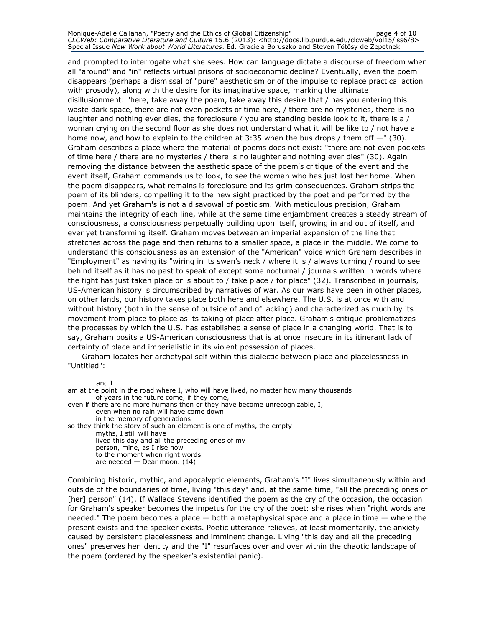and prompted to interrogate what she sees. How can language dictate a discourse of freedom when all "around" and "in" reflects virtual prisons of socioeconomic decline? Eventually, even the poem disappears (perhaps a dismissal of "pure" aestheticism or of the impulse to replace practical action with prosody), along with the desire for its imaginative space, marking the ultimate disillusionment: "here, take away the poem, take away this desire that / has you entering this waste dark space, there are not even pockets of time here, / there are no mysteries, there is no laughter and nothing ever dies, the foreclosure / you are standing beside look to it, there is a / woman crying on the second floor as she does not understand what it will be like to / not have a home now, and how to explain to the children at  $3:35$  when the bus drops / them off  $-$ " (30). Graham describes a place where the material of poems does not exist: "there are not even pockets of time here / there are no mysteries / there is no laughter and nothing ever dies" (30). Again removing the distance between the aesthetic space of the poem's critique of the event and the event itself, Graham commands us to look, to see the woman who has just lost her home. When the poem disappears, what remains is foreclosure and its grim consequences. Graham strips the poem of its blinders, compelling it to the new sight practiced by the poet and performed by the poem. And yet Graham's is not a disavowal of poeticism. With meticulous precision, Graham maintains the integrity of each line, while at the same time enjambment creates a steady stream of consciousness, a consciousness perpetually building upon itself, growing in and out of itself, and ever yet transforming itself. Graham moves between an imperial expansion of the line that stretches across the page and then returns to a smaller space, a place in the middle. We come to understand this consciousness as an extension of the "American" voice which Graham describes in "Employment" as having its "wiring in its swan's neck / where it is / always turning / round to see behind itself as it has no past to speak of except some nocturnal / journals written in words where the fight has just taken place or is about to / take place / for place" (32). Transcribed in journals, US-American history is circumscribed by narratives of war. As our wars have been in other places, on other lands, our history takes place both here and elsewhere. The U.S. is at once with and without history (both in the sense of outside of and of lacking) and characterized as much by its movement from place to place as its taking of place after place. Graham's critique problematizes the processes by which the U.S. has established a sense of place in a changing world. That is to say, Graham posits a US-American consciousness that is at once insecure in its itinerant lack of certainty of place and imperialistic in its violent possession of places.

Graham locates her archetypal self within this dialectic between place and placelessness in "Untitled":

and I

am at the point in the road where I, who will have lived, no matter how many thousands of years in the future come, if they come, even if there are no more humans then or they have become unrecognizable, I, even when no rain will have come down in the memory of generations so they think the story of such an element is one of myths, the empty myths, I still will have lived this day and all the preceding ones of my person, mine, as I rise now to the moment when right words are needed — Dear moon. (14)

Combining historic, mythic, and apocalyptic elements, Graham's "I" lives simultaneously within and outside of the boundaries of time, living "this day" and, at the same time, "all the preceding ones of [her] person" (14). If Wallace Stevens identified the poem as the cry of the occasion, the occasion for Graham's speaker becomes the impetus for the cry of the poet: she rises when "right words are needed." The poem becomes a place — both a metaphysical space and a place in time — where the present exists and the speaker exists. Poetic utterance relieves, at least momentarily, the anxiety caused by persistent placelessness and imminent change. Living "this day and all the preceding ones" preserves her identity and the "I" resurfaces over and over within the chaotic landscape of the poem (ordered by the speaker's existential panic).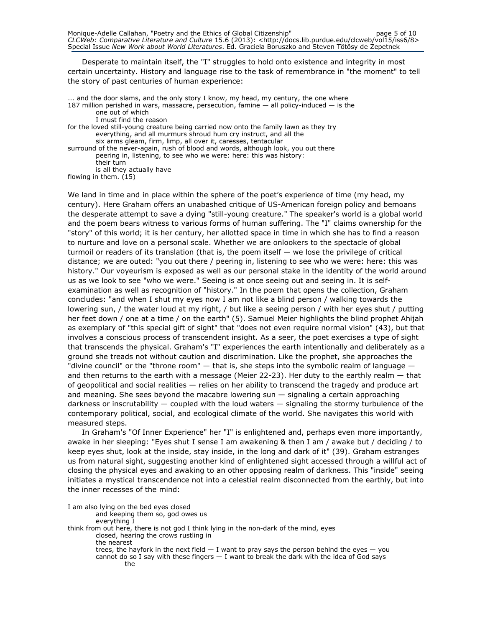Desperate to maintain itself, the "I" struggles to hold onto existence and integrity in most certain uncertainty. History and language rise to the task of remembrance in "the moment" to tell the story of past centuries of human experience:

... and the door slams, and the only story I know, my head, my century, the one where 187 million perished in wars, massacre, persecution, famine  $-$  all policy-induced  $-$  is the one out of which

I must find the reason

for the loved still-young creature being carried now onto the family lawn as they try everything, and all murmurs shroud hum cry instruct, and all the six arms gleam, firm, limp, all over it, caresses, tentacular

surround of the never-again, rush of blood and words, although look, you out there peering in, listening, to see who we were: here: this was history: their turn

is all they actually have

flowing in them. (15)

We land in time and in place within the sphere of the poet's experience of time (my head, my century). Here Graham offers an unabashed critique of US-American foreign policy and bemoans the desperate attempt to save a dying "still-young creature." The speaker's world is a global world and the poem bears witness to various forms of human suffering. The "I" claims ownership for the "story" of this world; it is her century, her allotted space in time in which she has to find a reason to nurture and love on a personal scale. Whether we are onlookers to the spectacle of global turmoil or readers of its translation (that is, the poem itself — we lose the privilege of critical distance; we are outed: "you out there / peering in, listening to see who we were: here: this was history." Our voyeurism is exposed as well as our personal stake in the identity of the world around us as we look to see "who we were." Seeing is at once seeing out and seeing in. It is selfexamination as well as recognition of "history." In the poem that opens the collection, Graham concludes: "and when I shut my eyes now I am not like a blind person / walking towards the lowering sun, / the water loud at my right, / but like a seeing person / with her eyes shut / putting her feet down / one at a time / on the earth" (5). Samuel Meier highlights the blind prophet Ahijah as exemplary of "this special gift of sight" that "does not even require normal vision" (43), but that involves a conscious process of transcendent insight. As a seer, the poet exercises a type of sight that transcends the physical. Graham's "I" experiences the earth intentionally and deliberately as a ground she treads not without caution and discrimination. Like the prophet, she approaches the "divine council" or the "throne room" — that is, she steps into the symbolic realm of language and then returns to the earth with a message (Meier 22-23). Her duty to the earthly realm — that of geopolitical and social realities — relies on her ability to transcend the tragedy and produce art and meaning. She sees beyond the macabre lowering sun  $-$  signaling a certain approaching darkness or inscrutability — coupled with the loud waters — signaling the stormy turbulence of the contemporary political, social, and ecological climate of the world. She navigates this world with measured steps.

In Graham's "Of Inner Experience" her "I" is enlightened and, perhaps even more importantly, awake in her sleeping: "Eyes shut I sense I am awakening & then I am / awake but / deciding / to keep eyes shut, look at the inside, stay inside, in the long and dark of it" (39). Graham estranges us from natural sight, suggesting another kind of enlightened sight accessed through a willful act of closing the physical eyes and awaking to an other opposing realm of darkness. This "inside" seeing initiates a mystical transcendence not into a celestial realm disconnected from the earthly, but into the inner recesses of the mind:

I am also lying on the bed eyes closed and keeping them so, god owes us everything I think from out here, there is not god I think lying in the non-dark of the mind, eyes closed, hearing the crows rustling in the nearest trees, the hayfork in the next field  $-1$  want to pray says the person behind the eyes  $-$  you cannot do so I say with these fingers  $-$  I want to break the dark with the idea of God says the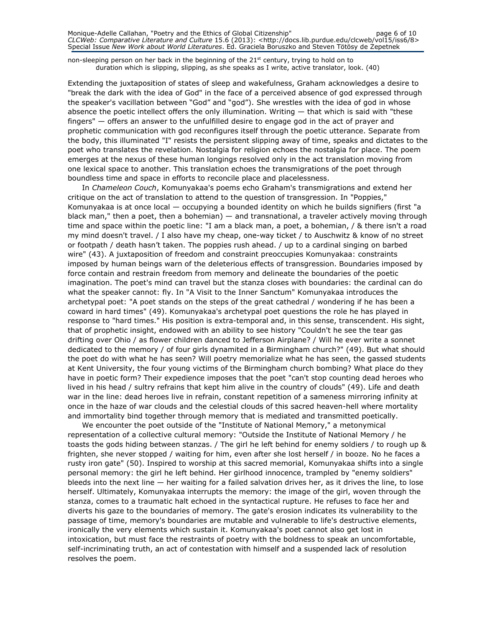non-sleeping person on her back in the beginning of the 21<sup>st</sup> century, trying to hold on to duration which is slipping, slipping, as she speaks as I write, active translator, look. (40)

Extending the juxtaposition of states of sleep and wakefulness, Graham acknowledges a desire to "break the dark with the idea of God" in the face of a perceived absence of god expressed through the speaker's vacillation between "God" and "god"). She wrestles with the idea of god in whose absence the poetic intellect offers the only illumination. Writing — that which is said with "these fingers" — offers an answer to the unfulfilled desire to engage god in the act of prayer and prophetic communication with god reconfigures itself through the poetic utterance. Separate from the body, this illuminated "I" resists the persistent slipping away of time, speaks and dictates to the poet who translates the revelation. Nostalgia for religion echoes the nostalgia for place. The poem emerges at the nexus of these human longings resolved only in the act translation moving from one lexical space to another. This translation echoes the transmigrations of the poet through boundless time and space in efforts to reconcile place and placelessness.

In Chameleon Couch, Komunyakaa's poems echo Graham's transmigrations and extend her critique on the act of translation to attend to the question of transgression. In "Poppies," Komunyakaa is at once local — occupying a bounded identity on which he builds signifiers (first "a black man," then a poet, then a bohemian) — and transnational, a traveler actively moving through time and space within the poetic line: "I am a black man, a poet, a bohemian, / & there isn't a road my mind doesn't travel. / I also have my cheap, one-way ticket / to Auschwitz & know of no street or footpath / death hasn't taken. The poppies rush ahead. / up to a cardinal singing on barbed wire" (43). A juxtaposition of freedom and constraint preoccupies Komunyakaa: constraints imposed by human beings warn of the deleterious effects of transgression. Boundaries imposed by force contain and restrain freedom from memory and delineate the boundaries of the poetic imagination. The poet's mind can travel but the stanza closes with boundaries: the cardinal can do what the speaker cannot: fly. In "A Visit to the Inner Sanctum" Komunyakaa introduces the archetypal poet: "A poet stands on the steps of the great cathedral / wondering if he has been a coward in hard times" (49). Komunyakaa's archetypal poet questions the role he has played in response to "hard times." His position is extra-temporal and, in this sense, transcendent. His sight, that of prophetic insight, endowed with an ability to see history "Couldn't he see the tear gas drifting over Ohio / as flower children danced to Jefferson Airplane? / Will he ever write a sonnet dedicated to the memory / of four girls dynamited in a Birmingham church?" (49). But what should the poet do with what he has seen? Will poetry memorialize what he has seen, the gassed students at Kent University, the four young victims of the Birmingham church bombing? What place do they have in poetic form? Their expedience imposes that the poet "can't stop counting dead heroes who lived in his head / sultry refrains that kept him alive in the country of clouds" (49). Life and death war in the line: dead heroes live in refrain, constant repetition of a sameness mirroring infinity at once in the haze of war clouds and the celestial clouds of this sacred heaven-hell where mortality and immortality bind together through memory that is mediated and transmitted poetically.

We encounter the poet outside of the "Institute of National Memory," a metonymical representation of a collective cultural memory: "Outside the Institute of National Memory / he toasts the gods hiding between stanzas. / The girl he left behind for enemy soldiers / to rough up & frighten, she never stopped / waiting for him, even after she lost herself / in booze. No he faces a rusty iron gate" (50). Inspired to worship at this sacred memorial, Komunyakaa shifts into a single personal memory: the girl he left behind. Her girlhood innocence, trampled by "enemy soldiers" bleeds into the next line — her waiting for a failed salvation drives her, as it drives the line, to lose herself. Ultimately, Komunyakaa interrupts the memory: the image of the girl, woven through the stanza, comes to a traumatic halt echoed in the syntactical rupture. He refuses to face her and diverts his gaze to the boundaries of memory. The gate's erosion indicates its vulnerability to the passage of time, memory's boundaries are mutable and vulnerable to life's destructive elements, ironically the very elements which sustain it. Komunyakaa's poet cannot also get lost in intoxication, but must face the restraints of poetry with the boldness to speak an uncomfortable, self-incriminating truth, an act of contestation with himself and a suspended lack of resolution resolves the poem.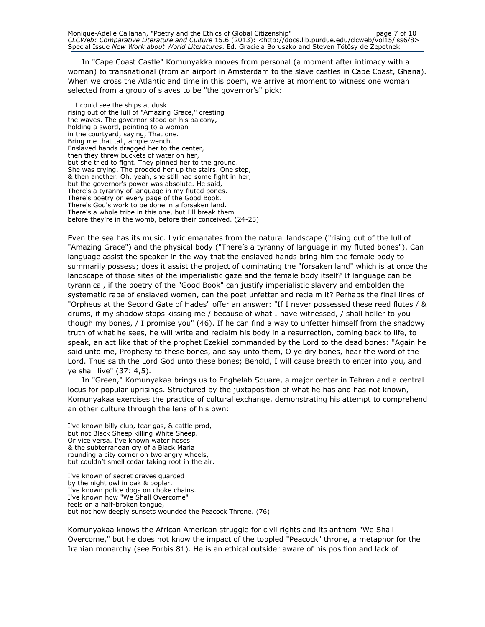In "Cape Coast Castle" Komunyakka moves from personal (a moment after intimacy with a woman) to transnational (from an airport in Amsterdam to the slave castles in Cape Coast, Ghana). When we cross the Atlantic and time in this poem, we arrive at moment to witness one woman selected from a group of slaves to be "the governor's" pick:

… I could see the ships at dusk rising out of the lull of "Amazing Grace," cresting the waves. The governor stood on his balcony, holding a sword, pointing to a woman in the courtyard, saying, That one. Bring me that tall, ample wench. Enslaved hands dragged her to the center, then they threw buckets of water on her, but she tried to fight. They pinned her to the ground. She was crying. The prodded her up the stairs. One step, & then another. Oh, yeah, she still had some fight in her, but the governor's power was absolute. He said, There's a tyranny of language in my fluted bones. There's poetry on every page of the Good Book. There's God's work to be done in a forsaken land. There's a whole tribe in this one, but I'll break them before they're in the womb, before their conceived. (24-25)

Even the sea has its music. Lyric emanates from the natural landscape ("rising out of the lull of "Amazing Grace") and the physical body ("There's a tyranny of language in my fluted bones"). Can language assist the speaker in the way that the enslaved hands bring him the female body to summarily possess; does it assist the project of dominating the "forsaken land" which is at once the landscape of those sites of the imperialistic gaze and the female body itself? If language can be tyrannical, if the poetry of the "Good Book" can justify imperialistic slavery and embolden the systematic rape of enslaved women, can the poet unfetter and reclaim it? Perhaps the final lines of "Orpheus at the Second Gate of Hades" offer an answer: "If I never possessed these reed flutes / & drums, if my shadow stops kissing me / because of what I have witnessed, / shall holler to you though my bones, / I promise you" (46). If he can find a way to unfetter himself from the shadowy truth of what he sees, he will write and reclaim his body in a resurrection, coming back to life, to speak, an act like that of the prophet Ezekiel commanded by the Lord to the dead bones: "Again he said unto me, Prophesy to these bones, and say unto them, O ye dry bones, hear the word of the Lord. Thus saith the Lord God unto these bones; Behold, I will cause breath to enter into you, and ye shall live" (37: 4,5).

In "Green," Komunyakaa brings us to Enghelab Square, a major center in Tehran and a central locus for popular uprisings. Structured by the juxtaposition of what he has and has not known, Komunyakaa exercises the practice of cultural exchange, demonstrating his attempt to comprehend an other culture through the lens of his own:

I've known billy club, tear gas, & cattle prod, but not Black Sheep killing White Sheep. Or vice versa. I've known water hoses & the subterranean cry of a Black Maria rounding a city corner on two angry wheels, but couldn't smell cedar taking root in the air.

I've known of secret graves guarded by the night owl in oak & poplar. I've known police dogs on choke chains. I've known how "We Shall Overcome" feels on a half-broken tongue, but not how deeply sunsets wounded the Peacock Throne. (76)

Komunyakaa knows the African American struggle for civil rights and its anthem "We Shall Overcome," but he does not know the impact of the toppled "Peacock" throne, a metaphor for the Iranian monarchy (see Forbis 81). He is an ethical outsider aware of his position and lack of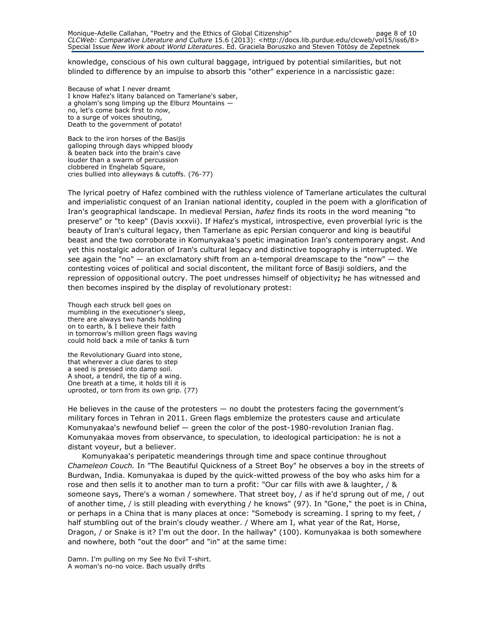knowledge, conscious of his own cultural baggage, intrigued by potential similarities, but not blinded to difference by an impulse to absorb this "other" experience in a narcissistic gaze:

Because of what I never dreamt I know Hafez's litany balanced on Tamerlane's saber, a gholam's song limping up the Elburz Mountains no, let's come back first to now, to a surge of voices shouting, Death to the government of potato!

Back to the iron horses of the Basijis galloping through days whipped bloody & beaten back into the brain's cave louder than a swarm of percussion clobbered in Enghelab Square, cries bullied into alleyways & cutoffs. (76-77)

The lyrical poetry of Hafez combined with the ruthless violence of Tamerlane articulates the cultural and imperialistic conquest of an Iranian national identity, coupled in the poem with a glorification of Iran's geographical landscape. In medieval Persian, hafez finds its roots in the word meaning "to preserve" or "to keep" (Davis xxxvii). If Hafez's mystical, introspective, even proverbial lyric is the beauty of Iran's cultural legacy, then Tamerlane as epic Persian conqueror and king is beautiful beast and the two corroborate in Komunyakaa's poetic imagination Iran's contemporary angst. And yet this nostalgic adoration of Iran's cultural legacy and distinctive topography is interrupted. We see again the "no" — an exclamatory shift from an a-temporal dreamscape to the "now" — the contesting voices of political and social discontent, the militant force of Basiji soldiers, and the repression of oppositional outcry. The poet undresses himself of objectivity; he has witnessed and then becomes inspired by the display of revolutionary protest:

Though each struck bell goes on mumbling in the executioner's sleep, there are always two hands holding on to earth, & I believe their faith in tomorrow's million green flags waving could hold back a mile of tanks & turn

the Revolutionary Guard into stone, that wherever a clue dares to step a seed is pressed into damp soil. A shoot, a tendril, the tip of a wing. One breath at a time, it holds till it is uprooted, or torn from its own grip. (77)

He believes in the cause of the protesters — no doubt the protesters facing the government's military forces in Tehran in 2011. Green flags emblemize the protesters cause and articulate Komunyakaa's newfound belief — green the color of the post-1980-revolution Iranian flag. Komunyakaa moves from observance, to speculation, to ideological participation: he is not a distant voyeur, but a believer.

Komunyakaa's peripatetic meanderings through time and space continue throughout Chameleon Couch. In "The Beautiful Quickness of a Street Boy" he observes a boy in the streets of Burdwan, India. Komunyakaa is duped by the quick-witted prowess of the boy who asks him for a rose and then sells it to another man to turn a profit: "Our car fills with awe & laughter, / & someone says, There's a woman / somewhere. That street boy, / as if he'd sprung out of me, / out of another time, / is still pleading with everything / he knows" (97). In "Gone," the poet is in China, or perhaps in a China that is many places at once: "Somebody is screaming. I spring to my feet, / half stumbling out of the brain's cloudy weather. / Where am I, what year of the Rat, Horse, Dragon, / or Snake is it? I'm out the door. In the hallway" (100). Komunyakaa is both somewhere and nowhere, both "out the door" and "in" at the same time:

Damn. I'm pulling on my See No Evil T-shirt. A woman's no-no voice. Bach usually drifts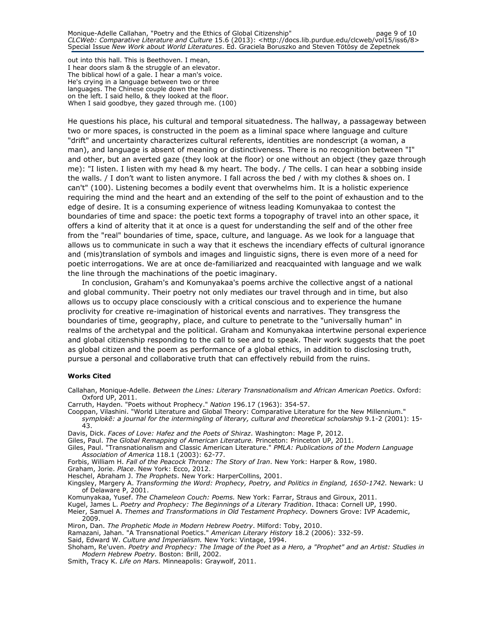out into this hall. This is Beethoven. I mean, I hear doors slam & the struggle of an elevator. The biblical howl of a gale. I hear a man's voice. He's crying in a language between two or three languages. The Chinese couple down the hall on the left. I said hello, & they looked at the floor. When I said goodbye, they gazed through me. (100)

He questions his place, his cultural and temporal situatedness. The hallway, a passageway between two or more spaces, is constructed in the poem as a liminal space where language and culture "drift" and uncertainty characterizes cultural referents, identities are nondescript (a woman, a man), and language is absent of meaning or distinctiveness. There is no recognition between "I" and other, but an averted gaze (they look at the floor) or one without an object (they gaze through me): "I listen. I listen with my head & my heart. The body. / The cells. I can hear a sobbing inside the walls. / I don't want to listen anymore. I fall across the bed / with my clothes & shoes on. I can't" (100). Listening becomes a bodily event that overwhelms him. It is a holistic experience requiring the mind and the heart and an extending of the self to the point of exhaustion and to the edge of desire. It is a consuming experience of witness leading Komunyakaa to contest the boundaries of time and space: the poetic text forms a topography of travel into an other space, it offers a kind of alterity that it at once is a quest for understanding the self and of the other free from the "real" boundaries of time, space, culture, and language. As we look for a language that allows us to communicate in such a way that it eschews the incendiary effects of cultural ignorance and (mis)translation of symbols and images and linguistic signs, there is even more of a need for poetic interrogations. We are at once de-familiarized and reacquainted with language and we walk the line through the machinations of the poetic imaginary.

In conclusion, Graham's and Komunyakaa's poems archive the collective angst of a national and global community. Their poetry not only mediates our travel through and in time, but also allows us to occupy place consciously with a critical conscious and to experience the humane proclivity for creative re-imagination of historical events and narratives. They transgress the boundaries of time, geography, place, and culture to penetrate to the "universally human" in realms of the archetypal and the political. Graham and Komunyakaa intertwine personal experience and global citizenship responding to the call to see and to speak. Their work suggests that the poet as global citizen and the poem as performance of a global ethics, in addition to disclosing truth, pursue a personal and collaborative truth that can effectively rebuild from the ruins.

#### Works Cited

Callahan, Monique-Adelle. Between the Lines: Literary Transnationalism and African American Poetics. Oxford: Oxford UP, 2011.

- Carruth, Hayden. "Poets without Prophecy." Nation 196.17 (1963): 354-57.
- Cooppan, Vilashini. "World Literature and Global Theory: Comparative Literature for the New Millennium." symplokē: a journal for the intermingling of literary, cultural and theoretical scholarship 9.1-2 (2001): 15- 43.
- Davis, Dick. Faces of Love: Hafez and the Poets of Shiraz. Washington: Mage P, 2012.
- Giles, Paul. The Global Remapping of American Literature. Princeton: Princeton UP, 2011.
- Giles, Paul. "Transnationalism and Classic American Literature." PMLA: Publications of the Modern Language Association of America 118.1 (2003): 62-77.
- Forbis, William H. Fall of the Peacock Throne: The Story of Iran. New York: Harper & Row, 1980.

Graham, Jorie. Place. New York: Ecco, 2012.

- Heschel, Abraham J. The Prophets. New York: HarperCollins, 2001.
- Kingsley, Margery A. Transforming the Word: Prophecy, Poetry, and Politics in England, 1650-1742. Newark: U of Delaware P, 2001.

Komunyakaa, Yusef. The Chameleon Couch: Poems. New York: Farrar, Straus and Giroux, 2011.

Kugel, James L. Poetry and Prophecy: The Beginnings of a Literary Tradition. Ithaca: Cornell UP, 1990.

Meier, Samuel A. Themes and Transformations in Old Testament Prophecy. Downers Grove: IVP Academic, 2009.

Miron, Dan. The Prophetic Mode in Modern Hebrew Poetry. Milford: Toby, 2010.

Ramazani, Jahan. "A Transnational Poetics." American Literary History 18.2 (2006): 332-59.

Said, Edward W. Culture and Imperialism. New York: Vintage, 1994.

Shoham, Re'uven. Poetry and Prophecy: The Image of the Poet as a Hero, a "Prophet" and an Artist: Studies in Modern Hebrew Poetry. Boston: Brill, 2002.

Smith, Tracy K. Life on Mars. Minneapolis: Graywolf, 2011.